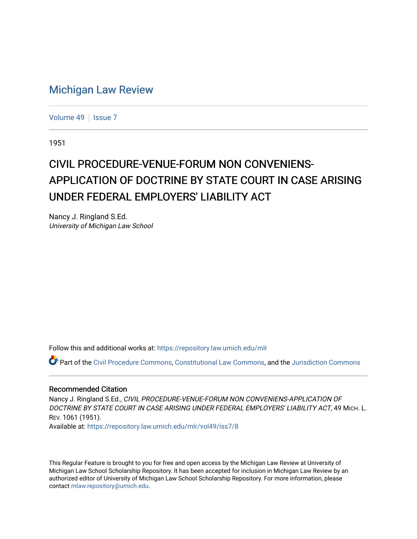## [Michigan Law Review](https://repository.law.umich.edu/mlr)

[Volume 49](https://repository.law.umich.edu/mlr/vol49) | [Issue 7](https://repository.law.umich.edu/mlr/vol49/iss7)

1951

## CIVIL PROCEDURE-VENUE-FORUM NON CONVENIENS-APPLICATION OF DOCTRINE BY STATE COURT IN CASE ARISING UNDER FEDERAL EMPLOYERS' LIABILITY ACT

Nancy J. Ringland S.Ed. University of Michigan Law School

Follow this and additional works at: [https://repository.law.umich.edu/mlr](https://repository.law.umich.edu/mlr?utm_source=repository.law.umich.edu%2Fmlr%2Fvol49%2Fiss7%2F8&utm_medium=PDF&utm_campaign=PDFCoverPages) 

Part of the [Civil Procedure Commons,](https://network.bepress.com/hgg/discipline/584?utm_source=repository.law.umich.edu%2Fmlr%2Fvol49%2Fiss7%2F8&utm_medium=PDF&utm_campaign=PDFCoverPages) [Constitutional Law Commons](https://network.bepress.com/hgg/discipline/589?utm_source=repository.law.umich.edu%2Fmlr%2Fvol49%2Fiss7%2F8&utm_medium=PDF&utm_campaign=PDFCoverPages), and the [Jurisdiction Commons](https://network.bepress.com/hgg/discipline/850?utm_source=repository.law.umich.edu%2Fmlr%2Fvol49%2Fiss7%2F8&utm_medium=PDF&utm_campaign=PDFCoverPages)

## Recommended Citation

Nancy J. Ringland S.Ed., CIVIL PROCEDURE-VENUE-FORUM NON CONVENIENS-APPLICATION OF DOCTRINE BY STATE COURT IN CASE ARISING UNDER FEDERAL EMPLOYERS' LIABILITY ACT, 49 MICH. L. REV. 1061 (1951).

Available at: [https://repository.law.umich.edu/mlr/vol49/iss7/8](https://repository.law.umich.edu/mlr/vol49/iss7/8?utm_source=repository.law.umich.edu%2Fmlr%2Fvol49%2Fiss7%2F8&utm_medium=PDF&utm_campaign=PDFCoverPages)

This Regular Feature is brought to you for free and open access by the Michigan Law Review at University of Michigan Law School Scholarship Repository. It has been accepted for inclusion in Michigan Law Review by an authorized editor of University of Michigan Law School Scholarship Repository. For more information, please contact [mlaw.repository@umich.edu](mailto:mlaw.repository@umich.edu).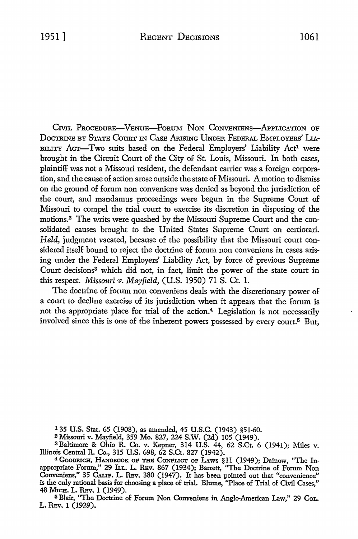CIVIL PROCEDURE-VENUE-FORUM NON CONVENIENS-APPLICATION OF DocTRINE BY STATE CoURT IN CASE Arusrnc UNDER FEDERAL EMPLOYERS' LIA-BILITY ACT-Two suits based on the Federal Employers' Liability Act<sup>1</sup> were brought in the Circuit Court of the City of St. Louis, Missouri. In both cases, plaintiff was not a Missouri resident, the defendant carrier was a foreign corporation, and the cause of action arose outside the state of Missouri. A motion to dismiss on the ground of forum non conveniens was denied as beyond the jurisdiction of the court, and mandamus proceedings were begun in the Supreme Court of Missouri to compel the trial court to exercise its discretion in disposing of the motions.2 The writs were quashed by the Missouri Supreme Court and the consolidated causes brought to the United States Supreme Court on certiorari. *Held,* judgment vacated, because of the possibility that the Missouri court considered itself bound to reject the doctrine of forum non conveniens in cases arising under the Federal Employers' Liability Act, by force of previous Supreme Court decisions<sup>3</sup> which did not, in fact, limit the power of the state court in this respect. *Missouri v. Mayfield,* (U.S. 1950) 71 S. Ct. 1.

The doctrine of forum non conveniens deals with the discretionary power of a court to decline exercise of its jurisdiction when it appears that the forum is not the appropriate place for trial of the action.<sup>4</sup> Legislation is not necessarily involved since this is one of the inherent powers possessed by every court.5 But,

1 35 U.S. Stat. 65 (1908), as amended, 45 U.S.C. (1943) §51-60.

<sup>2</sup>Missouri v. Mayfield, 359 Mo. 827, 224 S.W. (2d) 105 (1949).

3 Baltimore & Ohio R. Co. v. Kepner, 314 U.S. 44, 62 S.Ct. 6 (1941); Miles v. Illinois Central R. Co., 315 U.S. 698, 62 S.Ct. 827 (1942).

4 GooDRICH, HANDBOOK OP THB CONFLICT OP LAws §11 (1949); Dainow, "The Inappropriate Forum," 29 h.L. L. REv. 867 (1934); Barrett, ''The Doctrine of Forum Non Conveniens," 35 CALIF. L. REv. 380 (1947). It has been pointed out that "convenience" is the only rational basis for choosing a place of trial. Blume, "Place of Trial of Civil Cases," 48 MICH. L. REv. 1 (1949).

<sup>5</sup>Blair, "The Doctrine of Forum Non Conveniens in Anglo-American Law," 29 CoL. L. REv. 1 (1929).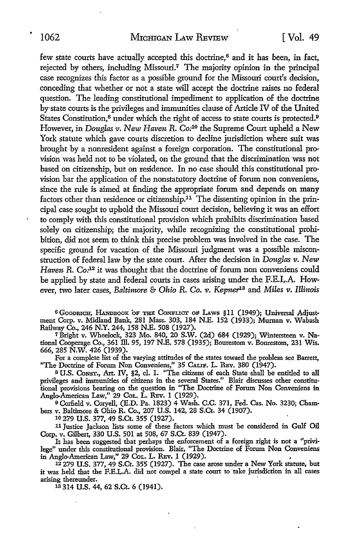few state courts have actually accepted this doctrine,<sup>6</sup> and it has been, in fact, rejected by others, including Missouri.<sup>7</sup> The majority opinion in the principal case recognizes this factor as a possible ground for the Missouri court's decision, conceding that whether or not a state will accept the doctrine raises no federal question. The leading constitutional impediment *to* application of the doctrine by·state courts is the privileges and immunities clause of Article IV of the United States Constitution,<sup>8</sup> under which the right of access to state courts is protected.<sup>9</sup> However, in *Douglas v.* New *Haven* R. *Co:10* the Supreme Court upheld a New York statute which gave courts discretion to decline jurisdiction where suit was brought by a nonresident against a foreign corporation. The constitutional provision was held not to be violated, on the ground that the discrimination was not based on citizenship, but on residence. In no case should this constitutional provision bar the application of the nonstatutory doctrine of forum non conveniens, since the rule is aimed at finding the appropriate forum and depends on many factors other than residence or citizenship.<sup>11</sup> The dissenting opinion in the principal case sought to uphold the Missouri court decision, believing it was an effort to comply with this constitutional provision which prohibits discrimination based solely on citizenship; the majority, while recognizing the constitutional prohibition, did not seem *to* think this precise problem was involved in the case. The specific ground for vacation of the Missouri judgment was a possible misconstruction of federal law by the state court. After the decision in *Douglas v. New* Haven R. Co.<sup>12</sup> it was thought that the doctrine of forum non conveniens could be applied by state and federal courts in cases arising under the F.E.L.A. However, two later cases, *Baltimore* & *Ohio* R. *Co.* 11. *Kepnei1*<sup>3</sup>and *Miles* 11. *Illinois* 

<sup>6</sup> GOODRICH, HANDBOOK OF THE CONFLICT OF LAWS §11 (1949); Universal Adjustment Corp. v. Midland Bank, 281 Mass. 303, 184 N.E. 152 (1933); Murnan v. Wabash Railway Co., 246 N.Y. 244, 158 N.E. 508 (1927).

7 Bright v. Wheelock, 323 Mo. 840, 20 S.W. (2d) 684 (1929); Wintersteen v. National Cooperage Co., 361 ill. 95, 197 N.E. 578 (1935); Bourestom v. Bourestom, 231 Wis. 666, 285 N.W. 426 (1939).

For a complete list of the varying attitudes of the states toward the problem see Barrett, "The Doctrine of Forum Non Conveniens,'' 35 CALIF. L. RBv. 380 (1947).

8 U.S. CoNsT., Art. IV, §2, cl. 1. "The citizens of each State shall be entitled to all privileges and immunities of citizens in the several States." Blair discusses other constitu• tional provisions bearing on the question in ''The Doctrine of Forum Non Conveniens in Anglo-American Law," 29 Col. L. Rev. 1 (1929).

<sup>9</sup> Corfield v. Coryell, (E.D. Pa. 1823) 4 Wash. C.C. 371, Fed. Cas. No. 3230; Chambers v. Baltimore & Ohio R. Co., 207 U.S. 142, 28 S.Ct. 34 (1907).

10 279 U.S. 377, 49 S.Ct. 355 (1927).

<sup>11</sup>Justice Jackson lists some of these factors which must be considered in Gulf Oil Corp. v. Gilbert, 330 U.S. 501 at 508, 67 S.Ct. 839 (1947).

It has been suggested that perhaps the enforcement of a foreign right is not a "privilege" under this constitutional provision. Blair, "The Doctrine of Forum Non Conveniens in Anglo-American Law," 29 Col. L. REv. 1 (1929).

 $12279$  U.S. 377, 49 S.Ct. 355 (1927). The case arose under a New York statute, but it was held that the F.E.L.A. did not compel a state court to take jurisdiction in all cases arising thereunder.

13 314 U.S. 44, 62 S.Ct. 6 (1941).